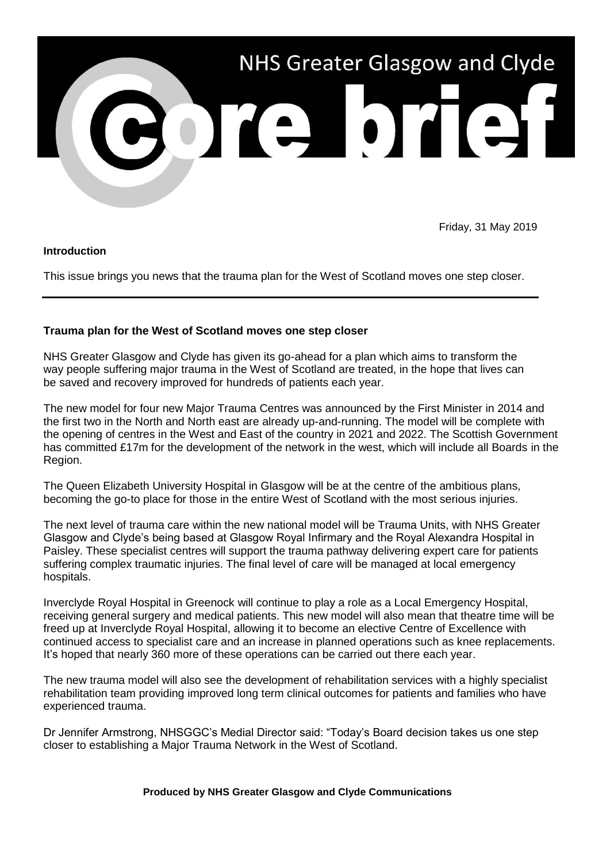

Friday, 31 May 2019

## **Introduction**

This issue brings you news that the trauma plan for the West of Scotland moves one step closer.

## **Trauma plan for the West of Scotland moves one step closer**

NHS Greater Glasgow and Clyde has given its go-ahead for a plan which aims to transform the way people suffering major trauma in the West of Scotland are treated, in the hope that lives can be saved and recovery improved for hundreds of patients each year.

The new model for four new Major Trauma Centres was announced by the First Minister in 2014 and the first two in the North and North east are already up-and-running. The model will be complete with the opening of centres in the West and East of the country in 2021 and 2022. The Scottish Government has committed £17m for the development of the network in the west, which will include all Boards in the Region.

The Queen Elizabeth University Hospital in Glasgow will be at the centre of the ambitious plans, becoming the go-to place for those in the entire West of Scotland with the most serious injuries.

The next level of trauma care within the new national model will be Trauma Units, with NHS Greater Glasgow and Clyde's being based at Glasgow Royal Infirmary and the Royal Alexandra Hospital in Paisley. These specialist centres will support the trauma pathway delivering expert care for patients suffering complex traumatic injuries. The final level of care will be managed at local emergency hospitals.

Inverclyde Royal Hospital in Greenock will continue to play a role as a Local Emergency Hospital, receiving general surgery and medical patients. This new model will also mean that theatre time will be freed up at Inverclyde Royal Hospital, allowing it to become an elective Centre of Excellence with continued access to specialist care and an increase in planned operations such as knee replacements. It's hoped that nearly 360 more of these operations can be carried out there each year.

The new trauma model will also see the development of rehabilitation services with a highly specialist rehabilitation team providing improved long term clinical outcomes for patients and families who have experienced trauma.

Dr Jennifer Armstrong, NHSGGC's Medial Director said: "Today's Board decision takes us one step closer to establishing a Major Trauma Network in the West of Scotland.

**Produced by NHS Greater Glasgow and Clyde Communications**